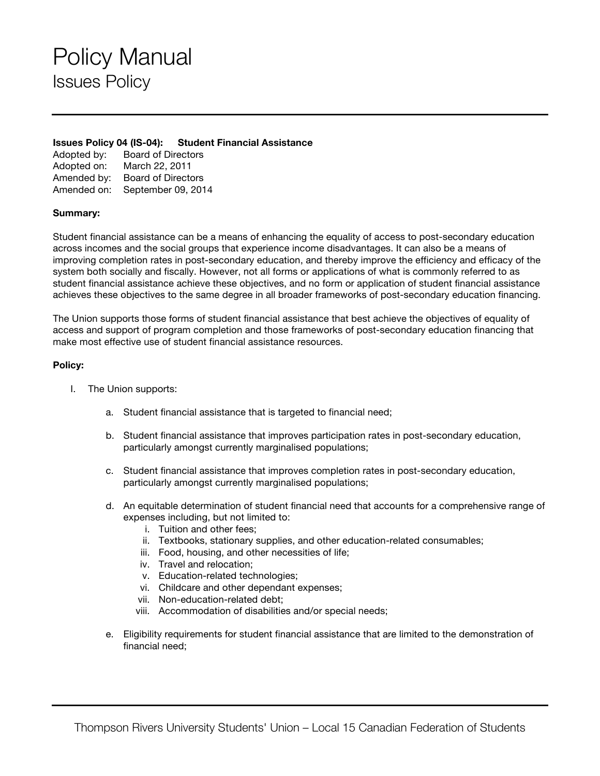# Policy Manual Issues Policy

#### **Issues Policy 04 (IS-04): Student Financial Assistance**

| Adopted by: | <b>Board of Directors</b> |
|-------------|---------------------------|
| Adopted on: | March 22, 2011            |
| Amended by: | <b>Board of Directors</b> |
| Amended on: | September 09, 2014        |

### **Summary:**

Student financial assistance can be a means of enhancing the equality of access to post-secondary education across incomes and the social groups that experience income disadvantages. It can also be a means of improving completion rates in post-secondary education, and thereby improve the efficiency and efficacy of the system both socially and fiscally. However, not all forms or applications of what is commonly referred to as student financial assistance achieve these objectives, and no form or application of student financial assistance achieves these objectives to the same degree in all broader frameworks of post-secondary education financing.

The Union supports those forms of student financial assistance that best achieve the objectives of equality of access and support of program completion and those frameworks of post-secondary education financing that make most effective use of student financial assistance resources.

### **Policy:**

- I. The Union supports:
	- a. Student financial assistance that is targeted to financial need;
	- b. Student financial assistance that improves participation rates in post-secondary education, particularly amongst currently marginalised populations;
	- c. Student financial assistance that improves completion rates in post-secondary education, particularly amongst currently marginalised populations;
	- d. An equitable determination of student financial need that accounts for a comprehensive range of expenses including, but not limited to:
		- i. Tuition and other fees;
		- ii. Textbooks, stationary supplies, and other education-related consumables;
		- iii. Food, housing, and other necessities of life;
		- iv. Travel and relocation;
		- v. Education-related technologies;
		- vi. Childcare and other dependant expenses;
		- vii. Non-education-related debt;
		- viii. Accommodation of disabilities and/or special needs;
	- e. Eligibility requirements for student financial assistance that are limited to the demonstration of financial need;